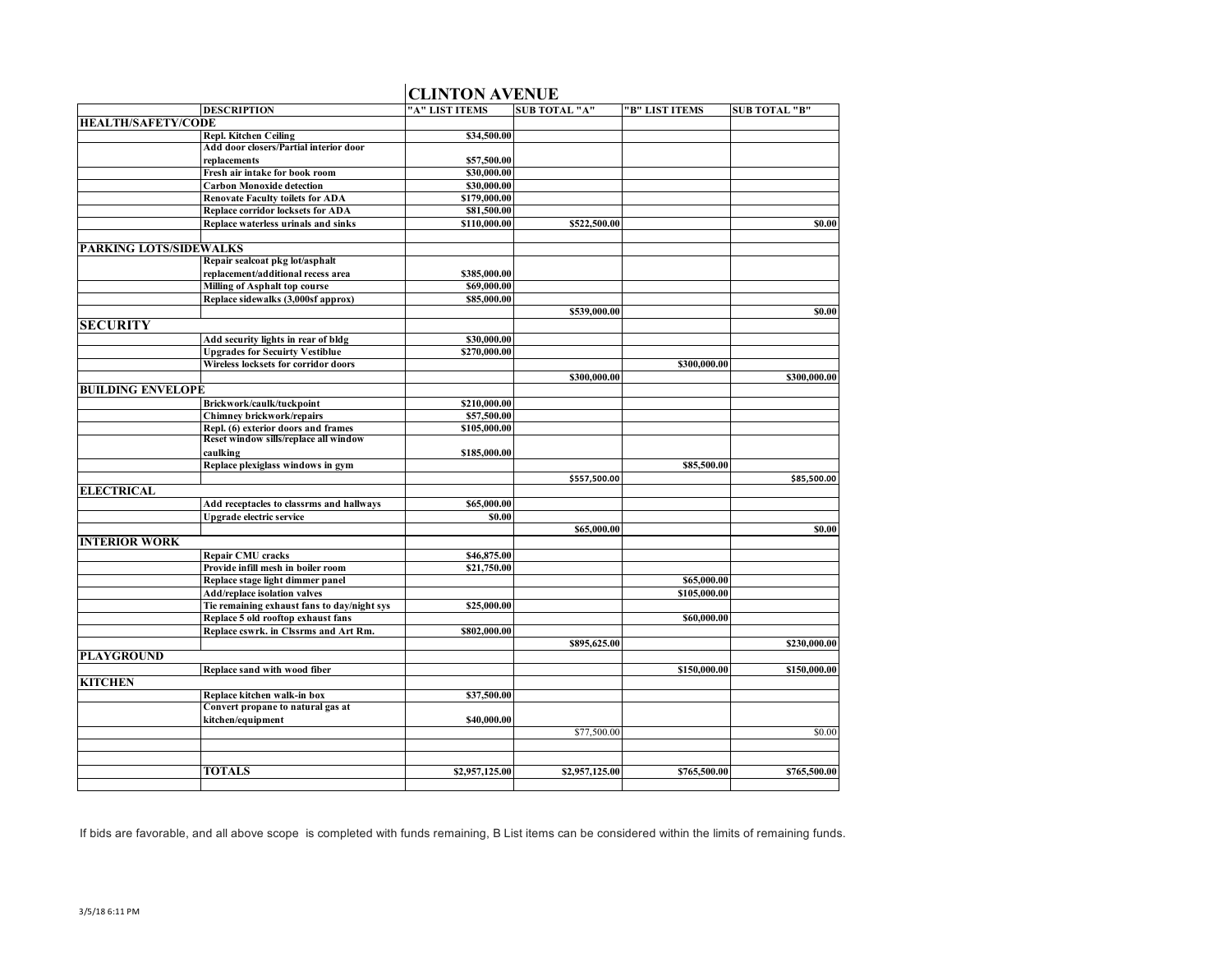|                               |                                             | <b>CLINTON AVENUE</b> |                      |                |                      |
|-------------------------------|---------------------------------------------|-----------------------|----------------------|----------------|----------------------|
|                               | <b>DESCRIPTION</b>                          | "A" LIST ITEMS        | <b>SUB TOTAL "A"</b> | "B" LIST ITEMS | <b>SUB TOTAL "B"</b> |
| <b>HEALTH/SAFETY/CODE</b>     |                                             |                       |                      |                |                      |
|                               | <b>Repl. Kitchen Ceiling</b>                | \$34,500.00           |                      |                |                      |
|                               | Add door closers/Partial interior door      |                       |                      |                |                      |
|                               | replacements                                | \$57,500.00           |                      |                |                      |
|                               | Fresh air intake for book room              | \$30,000.00           |                      |                |                      |
|                               | <b>Carbon Monoxide detection</b>            | \$30,000.00           |                      |                |                      |
|                               | <b>Renovate Faculty toilets for ADA</b>     | \$179,000.00          |                      |                |                      |
|                               | Replace corridor locksets for ADA           | \$81,500.00           |                      |                |                      |
|                               | Replace waterless urinals and sinks         | \$110,000.00          | \$522,500.00         |                | \$0.00               |
|                               |                                             |                       |                      |                |                      |
| <b>PARKING LOTS/SIDEWALKS</b> |                                             |                       |                      |                |                      |
|                               | Repair sealcoat pkg lot/asphalt             |                       |                      |                |                      |
|                               | replacement/additional recess area          | \$385,000.00          |                      |                |                      |
|                               | Milling of Asphalt top course               | \$69,000.00           |                      |                |                      |
|                               | Replace sidewalks (3,000sf approx)          | \$85,000.00           | \$539,000.00         |                | \$0.00               |
| <b>SECURITY</b>               |                                             |                       |                      |                |                      |
|                               | Add security lights in rear of bldg         | \$30,000.00           |                      |                |                      |
|                               | <b>Upgrades for Secuirty Vestiblue</b>      | \$270,000.00          |                      |                |                      |
|                               | Wireless locksets for corridor doors        |                       |                      | \$300,000.00   |                      |
|                               |                                             |                       | \$300,000.00         |                | \$300,000.00         |
| <b>BUILDING ENVELOPE</b>      |                                             |                       |                      |                |                      |
|                               | Brickwork/caulk/tuckpoint                   | \$210,000.00          |                      |                |                      |
|                               | Chimney brickwork/repairs                   | \$57,500.00           |                      |                |                      |
|                               | Repl. (6) exterior doors and frames         | \$105,000.00          |                      |                |                      |
|                               | Reset window sills/replace all window       |                       |                      |                |                      |
|                               | caulking                                    | \$185,000.00          |                      |                |                      |
|                               | Replace plexiglass windows in gym           |                       |                      | \$85,500.00    |                      |
|                               |                                             |                       | \$557,500.00         |                | \$85,500.00          |
| <b>ELECTRICAL</b>             |                                             |                       |                      |                |                      |
|                               | Add receptacles to classrms and hallways    | \$65,000.00           |                      |                |                      |
|                               | Upgrade electric service                    | \$0.00                |                      |                |                      |
|                               |                                             |                       | \$65,000.00          |                | \$0.00               |
| <b>INTERIOR WORK</b>          |                                             |                       |                      |                |                      |
|                               | Repair CMU cracks                           | \$46,875.00           |                      |                |                      |
|                               | Provide infill mesh in boiler room          | \$21,750.00           |                      |                |                      |
|                               | Replace stage light dimmer panel            |                       |                      | \$65,000.00    |                      |
|                               | <b>Add/replace isolation valves</b>         |                       |                      | \$105,000.00   |                      |
|                               | Tie remaining exhaust fans to day/night sys | \$25,000.00           |                      |                |                      |
|                               | Replace 5 old rooftop exhaust fans          |                       |                      | \$60,000.00    |                      |
|                               | Replace cswrk. in Clssrms and Art Rm.       | \$802,000.00          |                      |                |                      |
|                               |                                             |                       | \$895,625.00         |                | \$230,000.00         |
| <b>PLAYGROUND</b>             |                                             |                       |                      |                |                      |
|                               | Replace sand with wood fiber                |                       |                      | \$150,000.00   | \$150,000.00         |
| <b>KITCHEN</b>                |                                             |                       |                      |                |                      |
|                               | Replace kitchen walk-in box                 | \$37,500.00           |                      |                |                      |
|                               | Convert propane to natural gas at           | \$40,000.00           |                      |                |                      |
|                               | kitchen/equipment                           |                       | \$77,500.00          |                | \$0.00               |
|                               |                                             |                       |                      |                |                      |
|                               |                                             |                       |                      |                |                      |
|                               | <b>TOTALS</b>                               | \$2,957,125.00        | \$2,957,125.00       | \$765,500.00   | \$765,500.00         |
|                               |                                             |                       |                      |                |                      |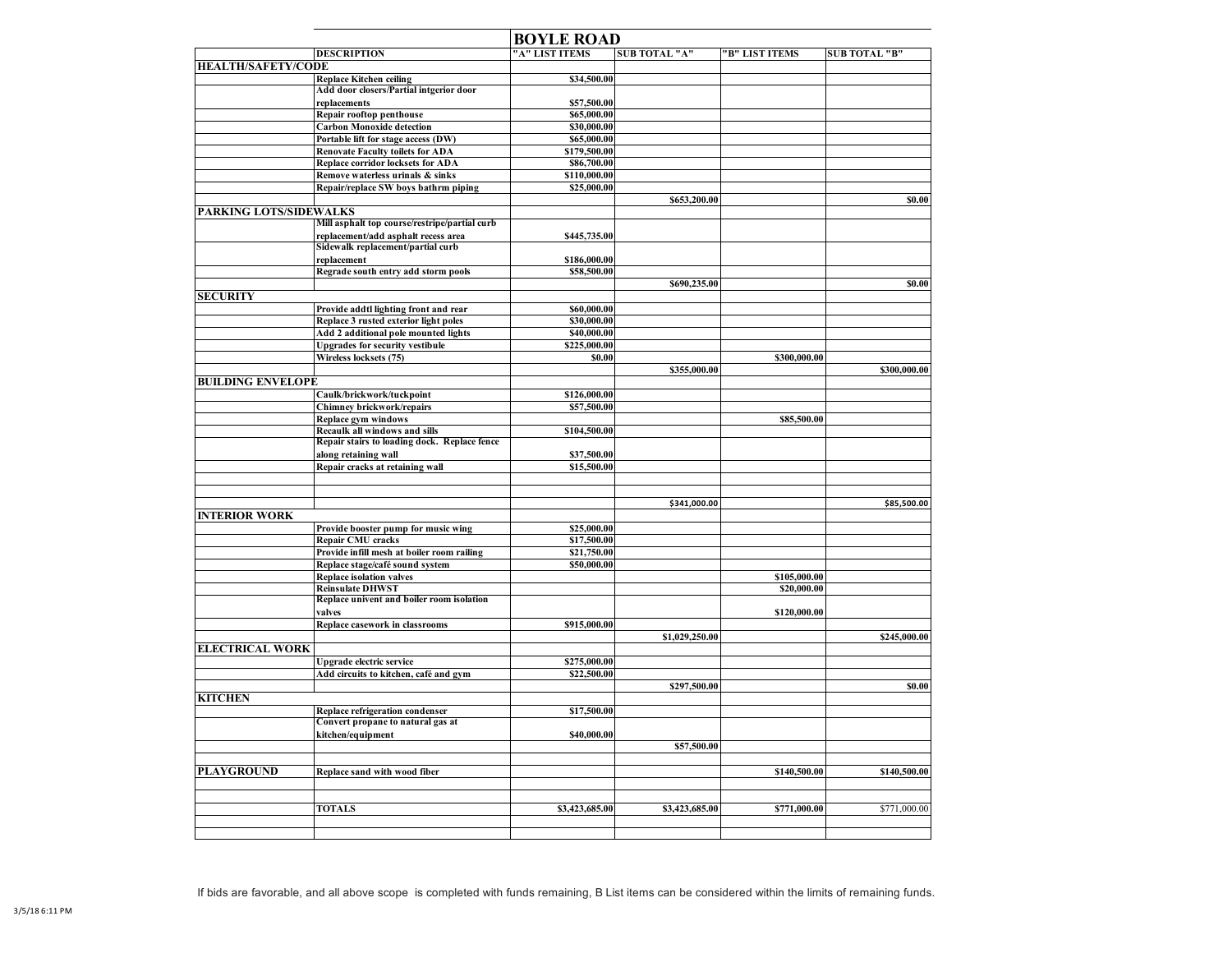|                           |                                                              | <b>BOYLE ROAD</b>          |                      |                |                      |
|---------------------------|--------------------------------------------------------------|----------------------------|----------------------|----------------|----------------------|
|                           | <b>DESCRIPTION</b>                                           | "A" LIST ITEMS             | <b>SUB TOTAL "A"</b> | "B" LIST ITEMS | <b>SUB TOTAL "B"</b> |
| <b>HEALTH/SAFETY/CODE</b> |                                                              |                            |                      |                |                      |
|                           | <b>Replace Kitchen ceiling</b>                               | \$34,500.00                |                      |                |                      |
|                           | Add door closers/Partial intgerior door                      |                            |                      |                |                      |
|                           | replacements                                                 | \$57,500.00<br>\$65,000.00 |                      |                |                      |
|                           | Repair rooftop penthouse<br><b>Carbon Monoxide detection</b> | \$30,000.00                |                      |                |                      |
|                           | Portable lift for stage access (DW)                          | \$65,000.00                |                      |                |                      |
|                           | <b>Renovate Faculty toilets for ADA</b>                      | \$179,500.00               |                      |                |                      |
|                           | Replace corridor locksets for ADA                            | \$86,700.00                |                      |                |                      |
|                           | Remove waterless urinals & sinks                             | \$110,000.00               |                      |                |                      |
|                           | Repair/replace SW boys bathrm piping                         | \$25,000.00                |                      |                |                      |
|                           |                                                              |                            | \$653,200.00         |                | 50.00                |
| PARKING LOTS/SIDEWALKS    |                                                              |                            |                      |                |                      |
|                           | Mill asphalt top course/restripe/partial curb                |                            |                      |                |                      |
|                           | replacement/add asphalt recess area                          | \$445,735.00               |                      |                |                      |
|                           | Sidewalk replacement/partial curb                            |                            |                      |                |                      |
|                           | replacement                                                  | \$186,000.00               |                      |                |                      |
|                           | Regrade south entry add storm pools                          | \$58,500.00                |                      |                |                      |
|                           |                                                              |                            | \$690,235.00         |                | 50.00                |
| <b>SECURITY</b>           |                                                              |                            |                      |                |                      |
|                           | Provide addtl lighting front and rear                        | \$60,000.00                |                      |                |                      |
|                           | Replace 3 rusted exterior light poles                        | \$30,000.00                |                      |                |                      |
|                           | Add 2 additional pole mounted lights                         | \$40,000.00                |                      |                |                      |
|                           | <b>Upgrades for security vestibule</b>                       | \$225,000.00<br>\$0.00     |                      | \$300,000.00   |                      |
|                           | Wireless locksets (75)                                       |                            | \$355,000.00         |                | \$300,000.00         |
| <b>BUILDING ENVELOPE</b>  |                                                              |                            |                      |                |                      |
|                           | Caulk/brickwork/tuckpoint                                    | \$126,000.00               |                      |                |                      |
|                           | Chimney brickwork/repairs                                    | \$57,500.00                |                      |                |                      |
|                           | <b>Replace gym windows</b>                                   |                            |                      | \$85,500.00    |                      |
|                           | Recaulk all windows and sills                                | \$104,500.00               |                      |                |                      |
|                           | Repair stairs to loading dock. Replace fence                 |                            |                      |                |                      |
|                           | along retaining wall                                         | \$37,500.00                |                      |                |                      |
|                           | Repair cracks at retaining wall                              | \$15,500.00                |                      |                |                      |
|                           |                                                              |                            |                      |                |                      |
|                           |                                                              |                            |                      |                |                      |
|                           |                                                              |                            | \$341,000.00         |                | \$85,500.00          |
| <b>INTERIOR WORK</b>      |                                                              |                            |                      |                |                      |
|                           | Provide booster pump for music wing                          | \$25,000.00                |                      |                |                      |
|                           | <b>Repair CMU cracks</b>                                     | \$17,500.00                |                      |                |                      |
|                           | Provide infill mesh at boiler room railing                   | \$21,750.00                |                      |                |                      |
|                           | Replace stage/café sound system                              | \$50,000.00                |                      |                |                      |
|                           | <b>Replace isolation valves</b>                              |                            |                      | \$105,000.00   |                      |
|                           | <b>Reinsulate DHWST</b>                                      |                            |                      | \$20,000.00    |                      |
|                           | Replace univent and boiler room isolation                    |                            |                      | \$120,000.00   |                      |
|                           | valves                                                       | \$915,000.00               |                      |                |                      |
|                           | Replace casework in classrooms                               |                            | \$1,029,250.00       |                | \$245,000.00         |
| <b>ELECTRICAL WORK</b>    |                                                              |                            |                      |                |                      |
|                           | Upgrade electric service                                     | \$275,000.00               |                      |                |                      |
|                           | Add circuits to kitchen, café and gym                        | \$22,500.00                |                      |                |                      |
|                           |                                                              |                            | \$297,500.00         |                | \$0.00               |
| <b>KITCHEN</b>            |                                                              |                            |                      |                |                      |
|                           | Replace refrigeration condenser                              | \$17,500.00                |                      |                |                      |
|                           | Convert propane to natural gas at                            |                            |                      |                |                      |
|                           | kitchen/equipment                                            | \$40,000.00                |                      |                |                      |
|                           |                                                              |                            | \$57,500.00          |                |                      |
|                           |                                                              |                            |                      |                |                      |
| <b>PLAYGROUND</b>         | Replace sand with wood fiber                                 |                            |                      | \$140,500.00   | \$140,500.00         |
|                           |                                                              |                            |                      |                |                      |
|                           |                                                              |                            |                      |                |                      |
|                           | <b>TOTALS</b>                                                | \$3,423,685.00             | \$3,423,685.00       | \$771,000.00   | \$771,000.00         |
|                           |                                                              |                            |                      |                |                      |
|                           |                                                              |                            |                      |                |                      |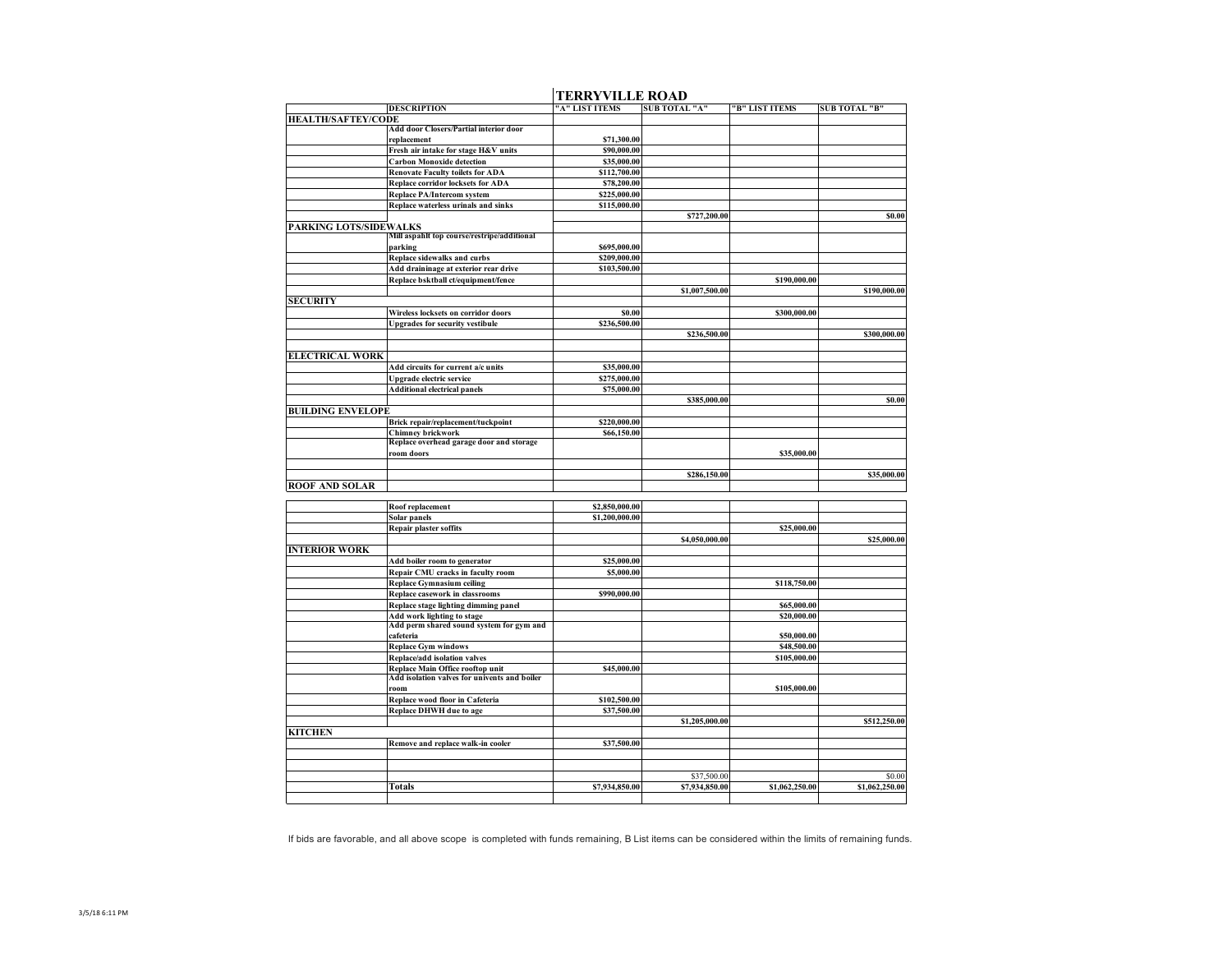|                           |                                                               | <u>I ENNI I IEEE NOIND</u> |                      |                |                      |
|---------------------------|---------------------------------------------------------------|----------------------------|----------------------|----------------|----------------------|
|                           | <b>DESCRIPTION</b>                                            | "A" LIST ITEMS             | <b>SUB TOTAL "A"</b> | "B" LIST ITEMS | <b>SUB TOTAL "B"</b> |
| <b>HEALTH/SAFTEY/CODE</b> |                                                               |                            |                      |                |                      |
|                           | Add door Closers/Partial interior door                        |                            |                      |                |                      |
|                           | replacement                                                   | \$71,300.00                |                      |                |                      |
|                           | Fresh air intake for stage H&V units                          | \$90,000.00                |                      |                |                      |
|                           | <b>Carbon Monoxide detection</b>                              | \$35,000.00                |                      |                |                      |
|                           | <b>Renovate Faculty toilets for ADA</b>                       | \$112,700.00               |                      |                |                      |
|                           | Replace corridor locksets for ADA                             | \$78,200.00                |                      |                |                      |
|                           | <b>Replace PA/Intercom system</b>                             | \$225,000.00               |                      |                |                      |
|                           | Replace waterless urinals and sinks                           | \$115,000.00               |                      |                |                      |
|                           |                                                               |                            | \$727,200.00         |                | \$0.00               |
| PARKING LOTS/SIDEWALKS    |                                                               |                            |                      |                |                      |
|                           | Mill aspahlt top course/restripe/additional                   |                            |                      |                |                      |
|                           | parking                                                       | \$695,000.00               |                      |                |                      |
|                           | Replace sidewalks and curbs                                   | \$209,000.00               |                      |                |                      |
|                           | Add draininage at exterior rear drive                         | \$103,500.00               |                      |                |                      |
|                           | Replace bsktball ct/equipment/fence                           |                            |                      | \$190,000.00   |                      |
|                           |                                                               |                            | \$1,007,500.00       |                | \$190,000.00         |
| <b>SECURITY</b>           |                                                               |                            |                      |                |                      |
|                           | Wireless locksets on corridor doors                           | \$0.00                     |                      | \$300,000.00   |                      |
|                           | <b>Upgrades for security vestibule</b>                        | \$236,500.00               |                      |                |                      |
|                           |                                                               |                            | \$236,500.00         |                | \$300,000.00         |
|                           |                                                               |                            |                      |                |                      |
| <b>ELECTRICAL WORK</b>    |                                                               |                            |                      |                |                      |
|                           | Add circuits for current a/c units                            | \$35,000.00                |                      |                |                      |
|                           | Upgrade electric service                                      | \$275,000.00               |                      |                |                      |
|                           | <b>Additional electrical panels</b>                           | \$75,000.00                |                      |                |                      |
|                           |                                                               |                            |                      |                |                      |
|                           |                                                               |                            | \$385,000.00         |                | \$0.00               |
| <b>BUILDING ENVELOPE</b>  |                                                               |                            |                      |                |                      |
|                           | Brick repair/replacement/tuckpoint                            | \$220,000.00               |                      |                |                      |
|                           | Chimney brickwork<br>Replace overhead garage door and storage | \$66,150.00                |                      |                |                      |
|                           | room doors                                                    |                            |                      | \$35,000.00    |                      |
|                           |                                                               |                            |                      |                |                      |
|                           |                                                               |                            |                      |                |                      |
|                           |                                                               |                            | \$286,150.00         |                | \$35,000.00          |
| <b>ROOF AND SOLAR</b>     |                                                               |                            |                      |                |                      |
|                           |                                                               | \$2,850,000.00             |                      |                |                      |
|                           | Roof replacement                                              |                            |                      |                |                      |
|                           | Solar panels                                                  | \$1,200,000.00             |                      |                |                      |
|                           | <b>Repair plaster soffits</b>                                 |                            |                      | \$25,000.00    |                      |
|                           |                                                               |                            | \$4,050,000.00       |                | \$25,000.00          |
| <b>INTERIOR WORK</b>      |                                                               |                            |                      |                |                      |
|                           | Add boiler room to generator                                  | \$25,000.00                |                      |                |                      |
|                           | Repair CMU cracks in faculty room                             | \$5,000.00                 |                      |                |                      |
|                           | Replace Gymnasium ceiling                                     |                            |                      | \$118,750.00   |                      |
|                           | Replace casework in classrooms                                | \$990,000.00               |                      |                |                      |
|                           | Replace stage lighting dimming panel                          |                            |                      | \$65,000.00    |                      |
|                           | Add work lighting to stage                                    |                            |                      | \$20,000.00    |                      |
|                           | Add perm shared sound system for gym and                      |                            |                      |                |                      |
|                           | cafeteria                                                     |                            |                      | \$50,000.00    |                      |
|                           | <b>Replace Gym windows</b>                                    |                            |                      | \$48,500.00    |                      |
|                           | Replace/add isolation valves                                  |                            |                      | \$105,000.00   |                      |
|                           | Replace Main Office rooftop unit                              | \$45,000.00                |                      |                |                      |
|                           | Add isolation valves for univents and boiler                  |                            |                      |                |                      |
|                           | room                                                          |                            |                      | \$105,000.00   |                      |
|                           | Replace wood floor in Cafeteria                               | \$102,500.00               |                      |                |                      |
|                           | <b>Replace DHWH</b> due to age                                | \$37,500.00                |                      |                |                      |
|                           |                                                               |                            | \$1,205,000.00       |                | \$512,250.00         |
| <b>KITCHEN</b>            |                                                               |                            |                      |                |                      |
|                           | Remove and replace walk-in cooler                             | \$37,500.00                |                      |                |                      |
|                           |                                                               |                            |                      |                |                      |
|                           |                                                               |                            |                      |                |                      |
|                           |                                                               |                            | \$37,500.00          |                | \$0.00               |
|                           | <b>Totals</b>                                                 | \$7,934,850.00             | \$7,934,850.00       | \$1,062,250.00 | \$1,062,250.00       |
|                           |                                                               |                            |                      |                |                      |
|                           |                                                               |                            |                      |                |                      |

## **TERRYVILLE ROAD**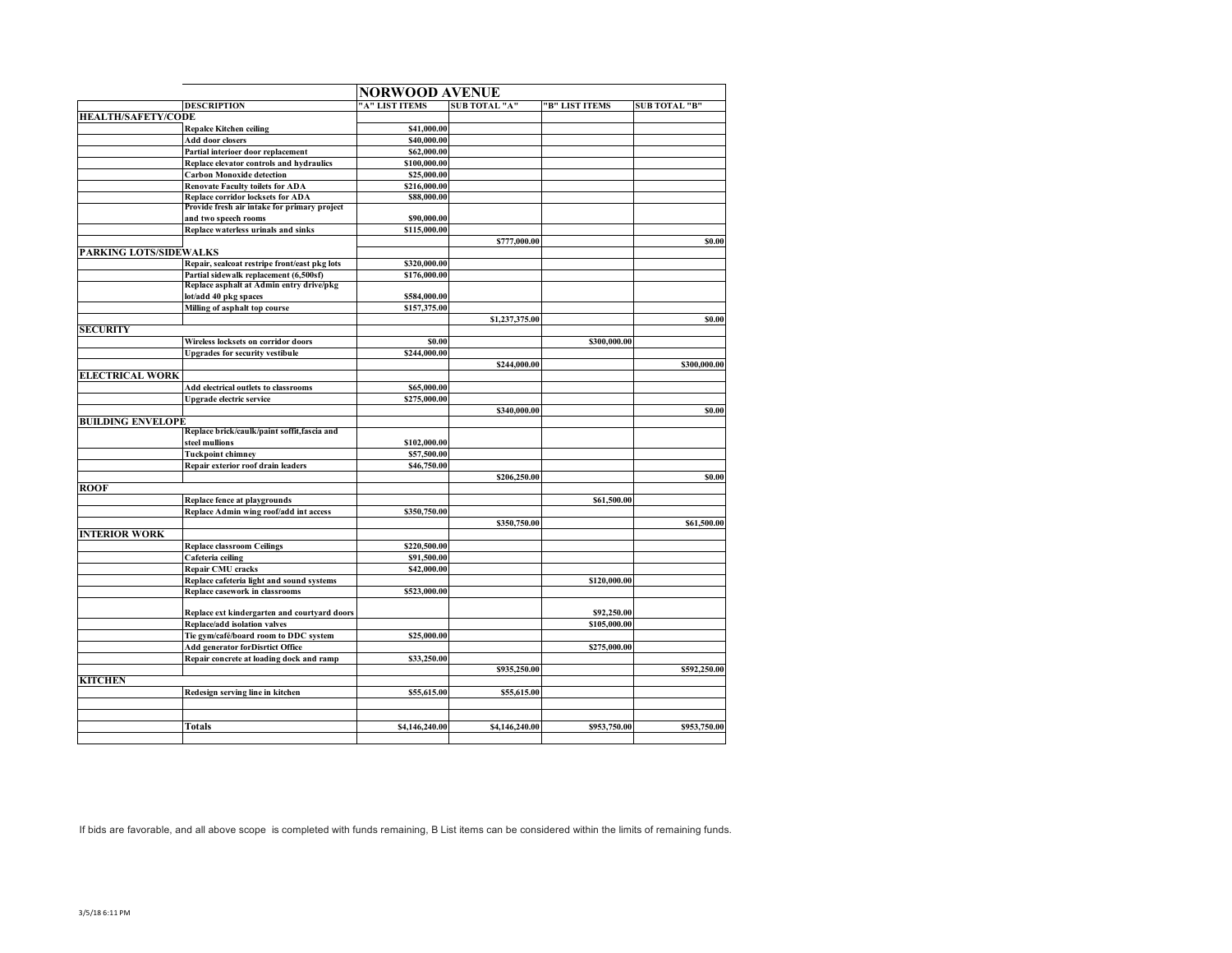|                               |                                                                                         | <b>NORWOOD AVENUE</b> |                      |                |                      |  |  |
|-------------------------------|-----------------------------------------------------------------------------------------|-----------------------|----------------------|----------------|----------------------|--|--|
|                               | <b>DESCRIPTION</b>                                                                      | "A" LIST ITEMS        | <b>SUB TOTAL "A"</b> | "B" LIST ITEMS | <b>SUB TOTAL "B"</b> |  |  |
| <b>HEALTH/SAFETY/CODE</b>     |                                                                                         |                       |                      |                |                      |  |  |
|                               | <b>Repalce Kitchen ceiling</b>                                                          | \$41,000.00           |                      |                |                      |  |  |
|                               | Add door closers                                                                        | \$40,000.00           |                      |                |                      |  |  |
|                               | Partial interioer door replacement                                                      | \$62,000.00           |                      |                |                      |  |  |
|                               | Replace elevator controls and hydraulics                                                | \$100,000.00          |                      |                |                      |  |  |
|                               | <b>Carbon Monoxide detection</b>                                                        | \$25,000.00           |                      |                |                      |  |  |
|                               | <b>Renovate Faculty toilets for ADA</b>                                                 | \$216,000.00          |                      |                |                      |  |  |
|                               | Replace corridor locksets for ADA                                                       | \$88,000.00           |                      |                |                      |  |  |
|                               | Provide fresh air intake for primary project                                            |                       |                      |                |                      |  |  |
|                               | and two speech rooms                                                                    | \$90,000.00           |                      |                |                      |  |  |
|                               | Replace waterless urinals and sinks                                                     | \$115,000.00          |                      |                |                      |  |  |
| <b>PARKING LOTS/SIDEWALKS</b> |                                                                                         |                       | \$777,000.00         |                | \$0.00               |  |  |
|                               |                                                                                         | \$320,000.00          |                      |                |                      |  |  |
|                               | Repair, sealcoat restripe front/east pkg lots<br>Partial sidewalk replacement (6,500sf) | \$176,000.00          |                      |                |                      |  |  |
|                               | Replace asphalt at Admin entry drive/pkg                                                |                       |                      |                |                      |  |  |
|                               | lot/add 40 pkg spaces                                                                   | \$584,000.00          |                      |                |                      |  |  |
|                               | Milling of asphalt top course                                                           | \$157,375.00          |                      |                |                      |  |  |
|                               |                                                                                         |                       | \$1,237,375.00       |                | \$0.00               |  |  |
| <b>SECURITY</b>               |                                                                                         |                       |                      |                |                      |  |  |
|                               | Wireless locksets on corridor doors                                                     | \$0.00                |                      | \$300,000.00   |                      |  |  |
|                               | <b>Upgrades for security vestibule</b>                                                  | \$244,000.00          |                      |                |                      |  |  |
|                               |                                                                                         |                       | \$244,000.00         |                | \$300,000.00         |  |  |
| <b>ELECTRICAL WORK</b>        |                                                                                         |                       |                      |                |                      |  |  |
|                               | Add electrical outlets to classrooms                                                    | \$65,000.00           |                      |                |                      |  |  |
|                               | Upgrade electric service                                                                | \$275,000.00          |                      |                |                      |  |  |
|                               |                                                                                         |                       | \$340,000.00         |                | \$0.00               |  |  |
| <b>BUILDING ENVELOPE</b>      |                                                                                         |                       |                      |                |                      |  |  |
|                               | Replace brick/caulk/paint soffit, fascia and                                            |                       |                      |                |                      |  |  |
|                               | steel mullions                                                                          | \$102,000.00          |                      |                |                      |  |  |
|                               | <b>Tuckpoint chimney</b>                                                                | \$57,500.00           |                      |                |                      |  |  |
|                               | Repair exterior roof drain leaders                                                      | \$46,750.00           |                      |                |                      |  |  |
|                               |                                                                                         |                       | \$206,250.00         |                | \$0.00               |  |  |
| <b>ROOF</b>                   |                                                                                         |                       |                      |                |                      |  |  |
|                               | Replace fence at playgrounds                                                            |                       |                      | \$61,500.00    |                      |  |  |
|                               | Replace Admin wing roof/add int access                                                  | \$350,750.00          |                      |                |                      |  |  |
|                               |                                                                                         |                       | \$350,750.00         |                | \$61,500.00          |  |  |
| <b>INTERIOR WORK</b>          |                                                                                         |                       |                      |                |                      |  |  |
|                               | <b>Replace classroom Ceilings</b>                                                       | \$220,500.00          |                      |                |                      |  |  |
|                               | Cafeteria ceiling                                                                       | \$91,500.00           |                      |                |                      |  |  |
|                               | Repair CMU cracks                                                                       | \$42,000.00           |                      |                |                      |  |  |
|                               | Replace cafeteria light and sound systems                                               |                       |                      | \$120,000.00   |                      |  |  |
|                               | Replace casework in classrooms                                                          | \$523,000.00          |                      |                |                      |  |  |
|                               |                                                                                         |                       |                      |                |                      |  |  |
|                               | Replace ext kindergarten and courtyard doors                                            |                       |                      | \$92,250.00    |                      |  |  |
|                               | Replace/add isolation valves                                                            |                       |                      | \$105,000.00   |                      |  |  |
|                               | Tie gym/café/board room to DDC system                                                   | \$25,000.00           |                      |                |                      |  |  |
|                               | Add generator forDisrtict Office                                                        |                       |                      | \$275,000.00   |                      |  |  |
|                               | Repair concrete at loading dock and ramp                                                | \$33,250.00           |                      |                |                      |  |  |
|                               |                                                                                         |                       | \$935,250.00         |                | \$592,250.00         |  |  |
| <b>KITCHEN</b>                |                                                                                         |                       |                      |                |                      |  |  |
|                               | Redesign serving line in kitchen                                                        | \$55,615.00           | \$55,615.00          |                |                      |  |  |
|                               |                                                                                         |                       |                      |                |                      |  |  |
|                               |                                                                                         |                       |                      |                |                      |  |  |
|                               | Totals                                                                                  | \$4,146,240.00        | \$4,146,240.00       | \$953,750.00   | \$953,750.00         |  |  |
|                               |                                                                                         |                       |                      |                |                      |  |  |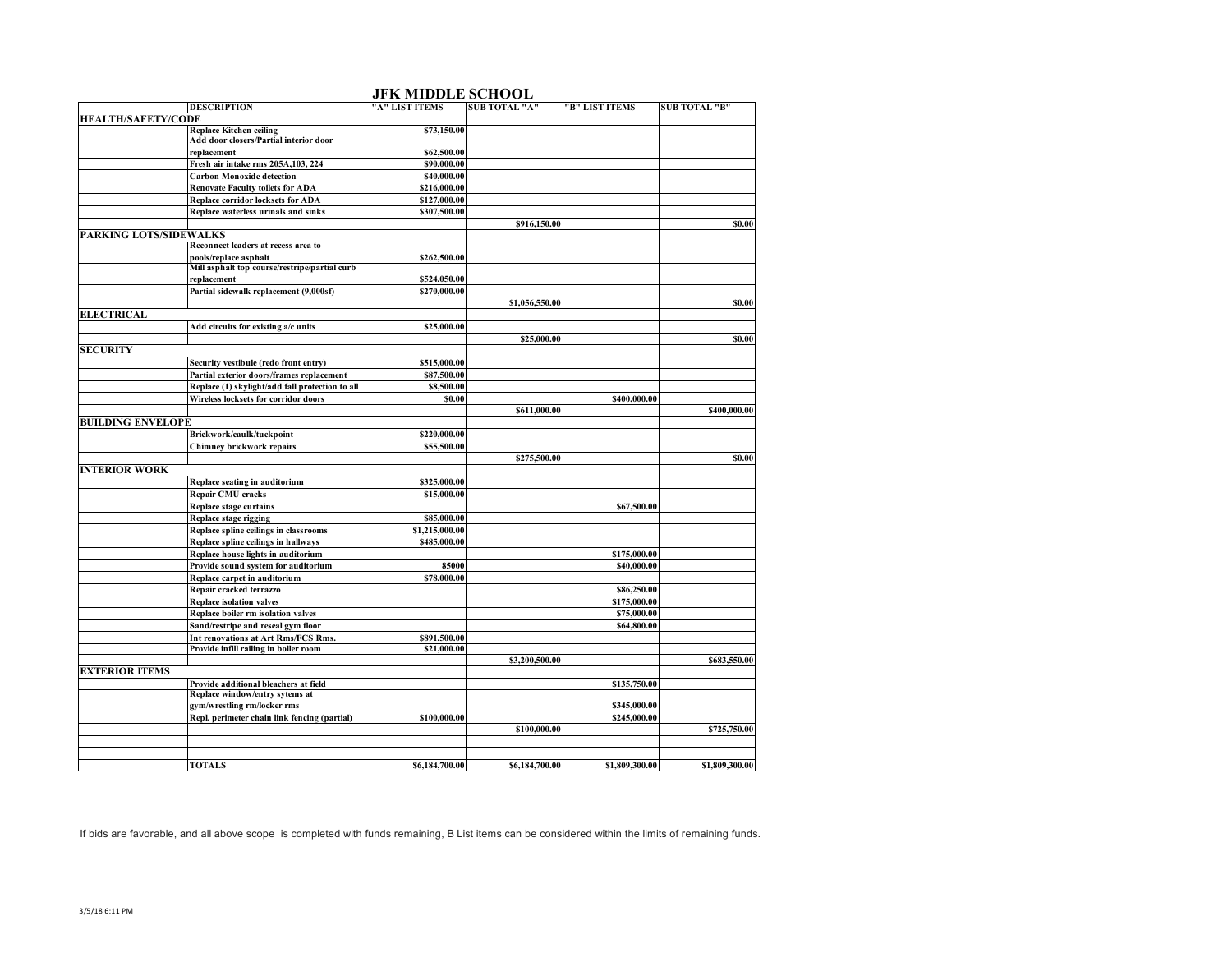|                           |                                                 | <b>JFK MIDDLE SCHOOL</b> |                      |                |                      |  |
|---------------------------|-------------------------------------------------|--------------------------|----------------------|----------------|----------------------|--|
|                           | <b>DESCRIPTION</b>                              | "A" LIST ITEMS           | <b>SUB TOTAL "A"</b> | "B" LIST ITEMS | <b>SUB TOTAL "B"</b> |  |
| <b>HEALTH/SAFETY/CODE</b> |                                                 |                          |                      |                |                      |  |
|                           | <b>Replace Kitchen ceiling</b>                  | \$73,150.00              |                      |                |                      |  |
|                           | Add door closers/Partial interior door          |                          |                      |                |                      |  |
|                           | replacement                                     | \$62,500.00              |                      |                |                      |  |
|                           | Fresh air intake rms 205A,103, 224              | \$90,000.00              |                      |                |                      |  |
|                           | <b>Carbon Monoxide detection</b>                | \$40,000.00              |                      |                |                      |  |
|                           | <b>Renovate Faculty toilets for ADA</b>         | \$216,000.00             |                      |                |                      |  |
|                           | <b>Replace corridor locksets for ADA</b>        | \$127,000.00             |                      |                |                      |  |
|                           | Replace waterless urinals and sinks             | \$307,500.00             |                      |                |                      |  |
|                           |                                                 |                          | \$916,150.00         |                | \$0.00               |  |
| PARKING LOTS/SIDEWALKS    |                                                 |                          |                      |                |                      |  |
|                           | Reconnect leaders at recess area to             |                          |                      |                |                      |  |
|                           | pools/replace asphalt                           | \$262,500.00             |                      |                |                      |  |
|                           | Mill asphalt top course/restripe/partial curb   |                          |                      |                |                      |  |
|                           | replacement                                     | \$524,050.00             |                      |                |                      |  |
|                           | Partial sidewalk replacement (9,000sf)          | \$270,000.00             |                      |                |                      |  |
|                           |                                                 |                          | \$1,056,550.00       |                | \$0.00               |  |
| <b>ELECTRICAL</b>         |                                                 |                          |                      |                |                      |  |
|                           | Add circuits for existing a/c units             | \$25,000.00              |                      |                |                      |  |
|                           |                                                 |                          | \$25,000.00          |                | \$0.00               |  |
| <b>SECURITY</b>           |                                                 |                          |                      |                |                      |  |
|                           | Security vestibule (redo front entry)           | \$515,000.00             |                      |                |                      |  |
|                           | Partial exterior doors/frames replacement       | \$87,500.00              |                      |                |                      |  |
|                           | Replace (1) skylight/add fall protection to all | \$8,500.00               |                      |                |                      |  |
|                           | Wireless locksets for corridor doors            | \$0.00                   |                      | \$400,000.00   |                      |  |
|                           |                                                 |                          | \$611,000.00         |                | \$400,000.00         |  |
| <b>BUILDING ENVELOPE</b>  |                                                 |                          |                      |                |                      |  |
|                           | Brickwork/caulk/tuckpoint                       | \$220,000.00             |                      |                |                      |  |
|                           | Chimney brickwork repairs                       | \$55,500.00              |                      |                |                      |  |
|                           |                                                 |                          | \$275,500.00         |                | \$0.00               |  |
| <b>INTERIOR WORK</b>      |                                                 |                          |                      |                |                      |  |
|                           | Replace seating in auditorium                   | \$325,000.00             |                      |                |                      |  |
|                           | Repair CMU cracks                               | \$15,000.00              |                      |                |                      |  |
|                           | <b>Replace stage curtains</b>                   |                          |                      | \$67,500.00    |                      |  |
|                           | Replace stage rigging                           | \$85,000.00              |                      |                |                      |  |
|                           | Replace spline ceilings in classrooms           | \$1,215,000.00           |                      |                |                      |  |
|                           | Replace spline ceilings in hallways             | \$485,000.00             |                      |                |                      |  |
|                           | Replace house lights in auditorium              |                          |                      | \$175,000.00   |                      |  |
|                           | Provide sound system for auditorium             | 85000                    |                      | \$40,000.00    |                      |  |
|                           | Replace carpet in auditorium                    | \$78,000.00              |                      |                |                      |  |
|                           | Repair cracked terrazzo                         |                          |                      | \$86,250.00    |                      |  |
|                           | <b>Replace isolation valves</b>                 |                          |                      | \$175,000.00   |                      |  |
|                           | Replace boiler rm isolation valves              |                          |                      | \$75,000.00    |                      |  |
|                           | Sand/restripe and reseal gym floor              |                          |                      | \$64,800.00    |                      |  |
|                           | Int renovations at Art Rms/FCS Rms.             | \$891,500.00             |                      |                |                      |  |
|                           | Provide infill railing in boiler room           | \$21,000.00              |                      |                |                      |  |
|                           |                                                 |                          | \$3,200,500.00       |                | \$683,550.00         |  |
| <b>EXTERIOR ITEMS</b>     |                                                 |                          |                      |                |                      |  |
|                           | Provide additional bleachers at field           |                          |                      | \$135,750.00   |                      |  |
|                           | Replace window/entry sytems at                  |                          |                      |                |                      |  |
|                           | gym/wrestling rm/locker rms                     |                          |                      | \$345,000.00   |                      |  |
|                           | Repl. perimeter chain link fencing (partial)    | \$100,000.00             |                      | \$245,000.00   |                      |  |
|                           |                                                 |                          | \$100,000.00         |                | \$725,750.00         |  |
|                           |                                                 |                          |                      |                |                      |  |
|                           |                                                 |                          |                      |                |                      |  |
|                           |                                                 |                          |                      |                |                      |  |
|                           | <b>TOTALS</b>                                   | \$6,184,700.00           | \$6,184,700.00       | \$1,809,300.00 | \$1,809,300.00       |  |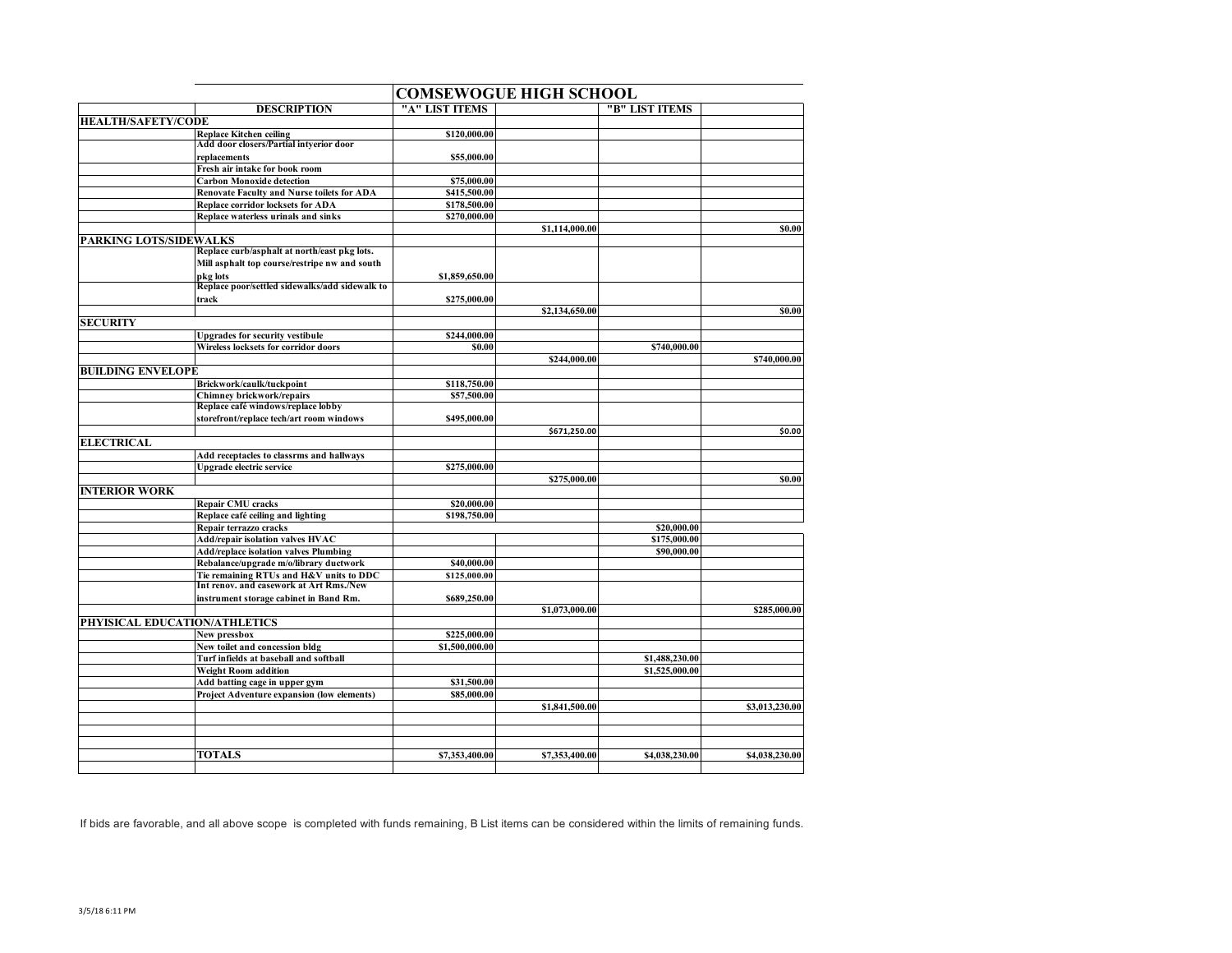|                               |                                                                        |                | <b>COMSEWOGUE HIGH SCHOOL</b> |                |                |
|-------------------------------|------------------------------------------------------------------------|----------------|-------------------------------|----------------|----------------|
|                               | <b>DESCRIPTION</b>                                                     | "A" LIST ITEMS |                               | "B" LIST ITEMS |                |
| <b>HEALTH/SAFETY/CODE</b>     |                                                                        |                |                               |                |                |
|                               | <b>Replace Kitchen ceiling</b>                                         | \$120,000.00   |                               |                |                |
|                               | Add door closers/Partial intverior door                                |                |                               |                |                |
|                               | replacements                                                           | \$55,000.00    |                               |                |                |
|                               | Fresh air intake for book room                                         |                |                               |                |                |
|                               | <b>Carbon Monoxide detection</b>                                       | \$75,000.00    |                               |                |                |
|                               | <b>Renovate Faculty and Nurse toilets for ADA</b>                      | \$415,500.00   |                               |                |                |
|                               | <b>Replace corridor locksets for ADA</b>                               | \$178,500.00   |                               |                |                |
|                               | Replace waterless urinals and sinks                                    | \$270,000.00   |                               |                |                |
|                               |                                                                        |                | \$1,114,000.00                |                | \$0.00         |
| <b>PARKING LOTS/SIDEWALKS</b> |                                                                        |                |                               |                |                |
|                               | Replace curb/asphalt at north/east pkg lots.                           |                |                               |                |                |
|                               | Mill asphalt top course/restripe nw and south                          |                |                               |                |                |
|                               | pkg lots                                                               | \$1,859,650.00 |                               |                |                |
|                               | Replace poor/settled sidewalks/add sidewalk to                         |                |                               |                |                |
|                               | track                                                                  | \$275,000.00   |                               |                |                |
|                               |                                                                        |                | \$2,134,650.00                |                | \$0.00         |
| <b>SECURITY</b>               |                                                                        |                |                               |                |                |
|                               | <b>Upgrades for security vestibule</b>                                 | \$244,000.00   |                               |                |                |
|                               | Wireless locksets for corridor doors                                   | \$0.00         |                               | \$740,000.00   |                |
|                               |                                                                        |                | \$244,000.00                  |                | \$740,000.00   |
| <b>BUILDING ENVELOPE</b>      |                                                                        |                |                               |                |                |
|                               | Brickwork/caulk/tuckpoint                                              | \$118,750.00   |                               |                |                |
|                               | <b>Chimney brickwork/repairs</b><br>Replace café windows/replace lobby | \$57,500.00    |                               |                |                |
|                               |                                                                        |                |                               |                |                |
|                               | storefront/replace tech/art room windows                               | \$495,000.00   | \$671,250.00                  |                | \$0.00         |
| <b>ELECTRICAL</b>             |                                                                        |                |                               |                |                |
|                               | Add receptacles to classrms and hallways                               |                |                               |                |                |
|                               | Upgrade electric service                                               | \$275,000.00   |                               |                |                |
|                               |                                                                        |                | \$275,000.00                  |                | \$0.00         |
| <b>INTERIOR WORK</b>          |                                                                        |                |                               |                |                |
|                               | <b>Repair CMU</b> cracks                                               | \$20,000.00    |                               |                |                |
|                               | Replace café ceiling and lighting                                      | \$198,750.00   |                               |                |                |
|                               | Repair terrazzo cracks                                                 |                |                               | \$20,000.00    |                |
|                               | Add/repair isolation valves HVAC                                       |                |                               | \$175,000.00   |                |
|                               | <b>Add/replace isolation valves Plumbing</b>                           |                |                               | \$90,000.00    |                |
|                               | Rebalance/upgrade m/o/library ductwork                                 | \$40,000.00    |                               |                |                |
|                               | Tie remaining RTUs and H&V units to DDC                                | \$125,000.00   |                               |                |                |
|                               | Int renov. and casework at Art Rms./New                                |                |                               |                |                |
|                               | instrument storage cabinet in Band Rm.                                 | \$689,250.00   |                               |                |                |
|                               |                                                                        |                | \$1,073,000.00                |                | \$285,000.00   |
| PHYISICAL EDUCATION/ATHLETICS |                                                                        |                |                               |                |                |
|                               | New pressbox                                                           | \$225,000.00   |                               |                |                |
|                               | New toilet and concession bldg                                         | \$1,500,000.00 |                               |                |                |
|                               | Turf infields at baseball and softball                                 |                |                               | \$1,488,230.00 |                |
|                               | <b>Weight Room addition</b>                                            |                |                               | \$1,525,000.00 |                |
|                               | Add batting cage in upper gym                                          | \$31,500.00    |                               |                |                |
|                               | Project Adventure expansion (low elements)                             | \$85,000.00    |                               |                |                |
|                               |                                                                        |                | \$1,841,500.00                |                | \$3,013,230.00 |
|                               |                                                                        |                |                               |                |                |
|                               |                                                                        |                |                               |                |                |
|                               |                                                                        |                |                               |                |                |
|                               | <b>TOTALS</b>                                                          | \$7,353,400.00 | \$7,353,400.00                | \$4,038,230.00 | \$4,038,230.00 |
|                               |                                                                        |                |                               |                |                |